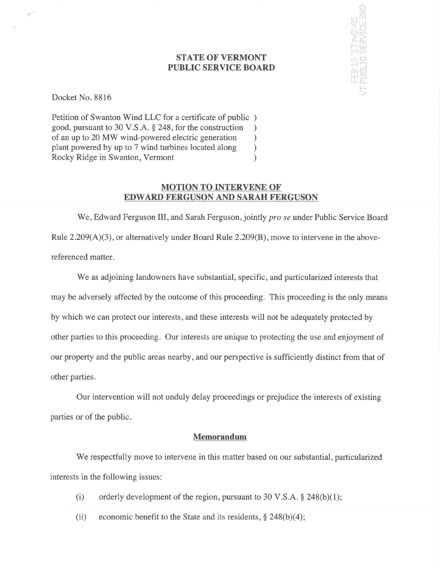## STATE OF VERMONT PUBLIC SERVICE BOARD

ie 15 '17 pv8:45<br>el 10 cepune el

Docket No. 8816

 $\tau^{-1}$ 

Petition of Swanton Wind LLC for a certificate of public ) good, pursuant to 30 V.S.A. § 248, for the construction <br>of an up to 20 MW wind-powered electric generation  $\qquad$ of an up to 20 MW wind-powered electric generation <br>plant powered by up to 7 wind turbines located along ) plant powered by up to 7 wind turbines located along ) Rocky Ridge in Swanton, Vermont (1988)

## MOTION TO INTERVENE OF EDWARD FERGUSON AND SARAH FERGUSON

We, Edward Ferguson III, and Sarah Ferguson, jointly *pro se* under Public Service Board Rule  $2.209(A)(3)$ , or alternatively under Board Rule  $2.209(B)$ , move to intervene in the abovereferenced matter.

We as adjoining landowners have substantial, specific, and particularized interests that may be adversely affected by the outcome of this proceeding. This proceeding is the only means by which we can protect our interests, and these interests will not be adequately protected by other parties to this proceeding. Our interests are unique to protecting the use and enjoyment of our property and the public areas nearby, and our perspective is sufficiently distinct from that of other parties.

Our intervention will not unduly delay proceedings or prejudice the interests of existing parties or of the public.

#### Memorandum

'We respectfully move to intervene in this matter based on our substantial, particularized interests in the following issues:

- (i) orderly development of the region, pursuant to 30 V.S.A.  $\S$  248(b)(1);
- (ii) economic benefit to the State and its residents,  $\S$  248(b)(4);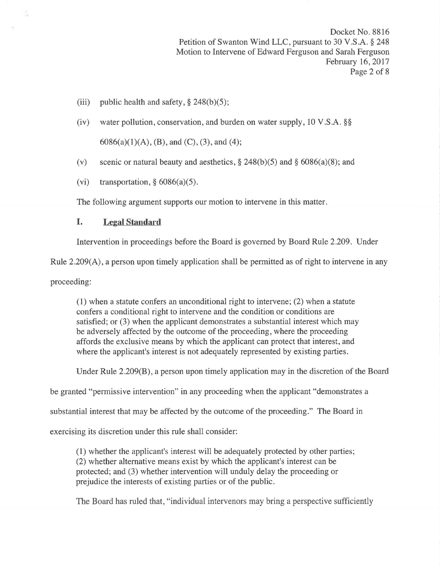Docket No. 8816 Petition of Swanton Wind LLC, pursuant to 30 V.S.A. § 248 Motion to Intervene of Edward Ferguson and Sarah Ferguson February 16,2017 Page 2 of 8

- (iii) public health and safety,  $\S$  248(b)(5);
- (iv) water pollution, conservation, and burden on water supply,  $10 \text{ V.S.A. }$  \$\$

 $6086(a)(1)(A), (B),$  and  $(C), (3),$  and  $(4);$ 

- (v) scenic or natural beauty and aesthetics,  $\S 248(b)(5)$  and  $\S 6086(a)(8)$ ; and
- (vi) transportation,  $§ 6086(a)(5)$ .

The following argument supports our motion to intervene in this matter.

## I. Legal Standard

Intervention in proceedings before the Board is governed by Board Rule 2.209. Under

Rule 2.209(A), a person upon timely application shall be permitted as of right to intervene in any

proceeding:

(1) when a statute confers an unconditional right to intervene; (2) when a statute confers a conditional right to intervene and the condition or conditions are satisfied; or (3) when the applicant demonstrates a substantial interest which may be adversely affected by the outcome of the proceeding, where the proceeding affords the exclusive means by which the applicant can protect that interest, and where the applicant's interest is not adequately represented by existing parties.

Under Rule 2.209(B), a person upon timely application may in the discretion of the Board

be granted "permissive intervention" in any proceeding when the applicant "demonstrates a

substantial interest that may be affected by the outcome of the proceeding." The Board in

exercising its discretion under this rule shall consider:

(1) whether the applicant's interest will be adequately protected by other parties; (2) whether alternative means exist by which the applicant's interest can be protected; and (3) whether intervention will unduly delay the proceeding or prejudice the interests of existing parties or of the public.

The Board has ruled that, "individual intervenors may bring a perspective sufficiently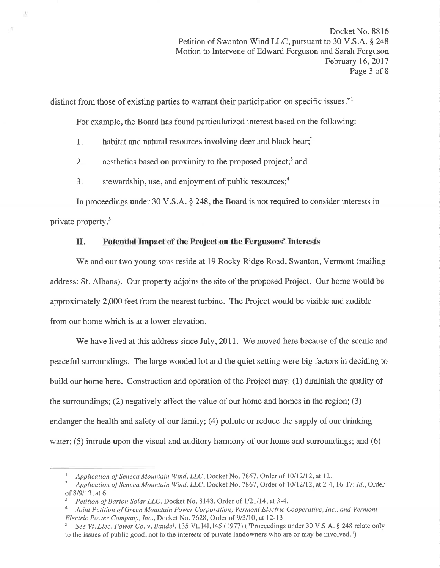distinct from those of existing parties to warrant their participation on specific issues."<sup>1</sup>

For example, the Board has found particularized interest based on the following:

1. habitat and natural resources involving deer and black bear,<sup>2</sup>

2. aesthetics based on proximity to the proposed project;<sup>3</sup> and

3. stewardship, use, and enjoyment of public resources; $<sup>4</sup>$ </sup>

In proceedings under 30 V.S.A. \$ 248, the Board is not required to consider interests in private property.<sup>5</sup>

## II. Potential Impact of the Project on the Fergusons' Interests

'We and our two young sons reside at 19 Rocky Ridge Road, Swanton, Vermont (mailing address: St. Albans). Our property adjoins the site of the proposed Project. Our home would be approximately 2,000 feet from the nearest turbine. The Project would be visible and audible from our home which is at a lower elevation.

We have lived at this address since July, 2011. We moved here because of the scenic and peaceful surroundings. The large wooded lot and the quiet setting were big factors in deciding to build our home here. Construction and operation of the Project may: (1) diminish the quality of the surroundings; (2) negatively affect the value of our home and homes in the region; (3) endanger the health and safety of our family; (4) pollute or reduce the supply of our drinking water; (5) intrude upon the visual and auditory harmony of our home and surroundings; and (6)

Application of Seneca Mountain Wind, LLC, Docket No. 7867, Order of 10/12/12, at 12.<br>Application of Seneca Mountain Wind, LLC, Docket No. 7867, Order of 10/12/12, at 2-4, 16-17; Id., Order of  $8/9/13$ , at 6.<br><sup>3</sup> Petition of Barton Solar LLC, Docket No. 8148, Order of 1/21/14, at 3-4.

<sup>&</sup>lt;sup>4</sup> Joint Petition of Green Mountain Power Corporation, Vermont Electric Cooperative, Inc., and Vermont Electric Power Company, Inc., Docket No. 7628, Order of 9/3/10, at 12-13.

See Vt. Elec. Power Co. v. Bandel, 135 Vt. 141, 145 (1977) ("Proceedings under 30 V.S.A. § 248 relate only to the issues of public good, not to the interests of private landowners who are or may be involved.")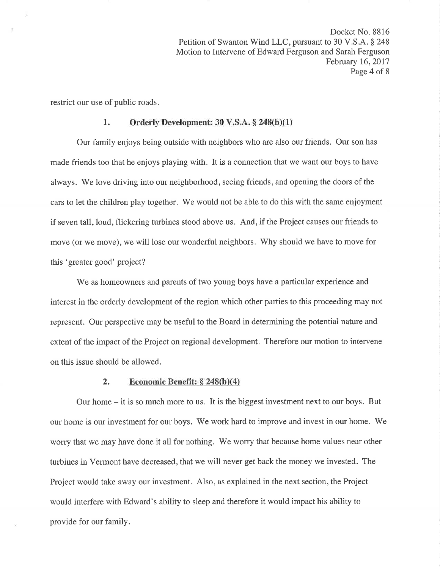Docket No. 8816 Petition of Swanton Wind LLC, pursuant to 30 V.S.A. § 248 Motion to Intervene of Edward Ferguson and Sarah Ferguson February 16, 2017 Page 4 of 8

restrict our use of public roads.

#### 1. Orderly Development:  $30 \text{ V.S.A.} \$   $248(b)(1)$

Our family enjoys being outside with neighbors who are also our friends. Our son has made friends too that he enjoys playing with. It is a connection that we want our boys to have always. We love driving into our neighborhood, seeing friends, and opening the doors of the cars to let the children play together. We would not be able to do this with the same enjoyment if seven tall, loud, flickering turbines stood above us. And, if the Project causes our friends to move (or we move), we will lose our wonderful neighbors. Why should we have to move for this 'greater good' project?

We as homeowners and parents of two young boys have a particular experience and interest in the orderly development of the region which other parties to this proceeding may not represent. Our perspective may be useful to the Board in determining the potential nature and extent of the impact of the Project on regional development. Therefore our motion to intervene on this issue should be allowed.

#### 2. Economic Benefit:  $\S$  248(b)(4)

Our home  $-$  it is so much more to us. It is the biggest investment next to our boys. But our home is our investment for our boys. 'We work hard to improve and invest in our home. 'We worry that we may have done it all for nothing. 'We worry that because home values near other turbines in Vermont have decreased, that we will never get back the money we invested. The Project would take away our investment. Also, as explained in the next section, the Project would interfere with Edward's ability to sleep and therefore it would impact his ability to provide for our family.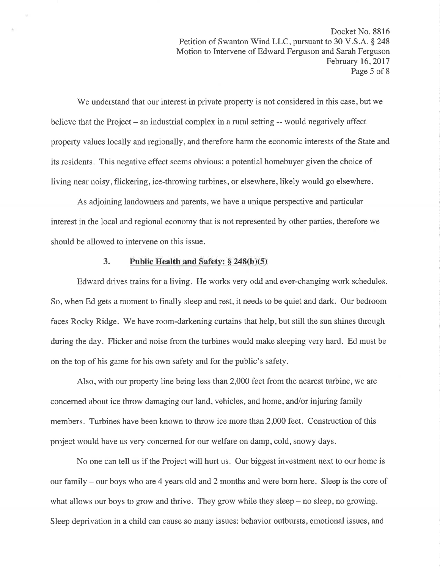We understand that our interest in private property is not considered in this case, but we believe that the Project – an industrial complex in a rural setting -- would negatively affect property values locally and regionally, and therefore harm the economic interests of the State and its residents. This negative effect seems obvious: a potential homebuyer given the choice of living near noisy, flickering, ice-throwing turbines, or elsewhere, likely would go elsewhere.

As adjoining landowners and parents, we have a unique perspective and particular interest in the local and regional economy that is not represented by other parties, therefore we should be allowed to intervene on this issue.

### 3. Public Health and Safety:  $§ 248(b)(5)$

Edward drives trains for a living. He works very odd and ever-changing work schedules. So, when Ed gets a moment to finally sleep and rest, it needs to be quiet and dark. Our bedroom faces Rocky Ridge. We have room-darkening curtains that help, but still the sun shines through during the day. Flicker and noise from the turbines would make sleeping very hard. Ed must be on the top of his game for his own safety and for the public's safety.

Also, with our property line being less than 2,000 feet from the nearest turbine, we are concerned about ice throw damaging our land, vehicles, and home, and/or injuring family members. Turbines have been known to throw ice more than 2,000 feet. Construction of this project would have us very concerned for our welfare on damp, cold, snowy days.

No one can tell us if the Project will hurt us. Our biggest investment next to our home is our family - our boys who are 4 years old and 2 months and were born here. Sleep is the core of what allows our boys to grow and thrive. They grow while they sleep – no sleep, no growing. Sleep deprivation in a child can cause so many issues: behavior outbursts, emotional issues, and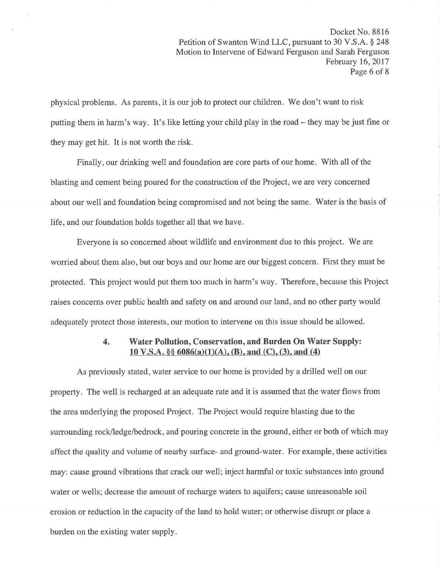physical problems. As parents, it is our job to protect our children. We don't want to risk putting them in harm's way. It's like letting your child play in the road – they may be just fine or they may get hit. It is not worth the risk.

Finally, our drinking well and foundation are core parts of our home. With all of the blasting and cement being poured for the construction of the Project, we are very concerned about our well and foundation being compromised and not being the same. Water is the basis of life, and our foundation holds together all that we have.

Everyone is so concerned about wildlife and environment due to this project. We are worried about them also, but our boys and our home are our biggest concern. First they must be protected. This project would put them too much in harm's way. Therefore, because this Project raises concerns over public health and safety on and around our land, and no other party would adequately protect those interests, our motion to intervene on this issue should be allowed.

## 4. Water Pollution, Conservation, and Burden On Water Supply: 10 V.S.A.  $\S$  6086(a)(1)(A), (B), and (C), (3), and (4)

As previously stated, water service to our home is provided by a drilled well on our property. The well is recharged at an adequate rate and it is assumed that the water flows from the area underlying the proposed Project. The Project would require blasting due to the surrounding rock/ledge/bedrock, and pouring concrete in the ground, either or both of which may affect the quality and volume of nearby surface- and ground-water. For example, these activities may: cause ground vibrations that crack our well; inject harmful or toxic substances into ground water or wells; decrease the amount of recharge waters to aquifers; cause unreasonable soil erosion or reduction in the capacity of the land to hold water; or otherwise disrupt or place a burden on the existing water supply.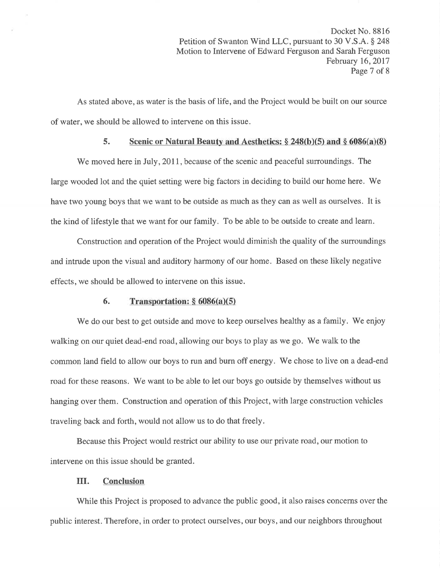As stated above, as water is the basis of life, and the Project would be built on our source of water, we should be allowed to intervene on this issue.

#### 5. Scenic or Natural Beauty and Aesthetics:  $\S 248(b)(5)$  and  $\S 6086(a)(8)$

We moved here in July, 2011, because of the scenic and peaceful surroundings. The large wooded lot and the quiet setting were big factors in deciding to build our home here. We have two young boys that we want to be outside as much as they can as well as ourselves. It is the kind of lifestyle that we want for our family. To be able to be outside to create and learn.

Construction and operation of the Project would diminish the quality of the surroundings and intrude upon the visual and auditory harmony of our home. Based on these likely negative effects, we should be allowed to intervene on this issue.

#### 6. Transportation:  $§ 6086(a)(5)$

We do our best to get outside and move to keep ourselves healthy as a family. We enjoy walking on our quiet dead-end road, allowing our boys to play as we go. We walk to the common land field to allow our boys to run and burn off energy. We chose to live on a dead-end road for these reasons. We want to be able to let our boys go outside by themselves without us hanging over them. Construction and operation of this Project, with large construction vehicles traveling back and forth, would not allow us to do that freely.

Because this Project would restrict our ability to use our private road, our motion to intervene on this issue should be granted.

#### III. Conclusion

While this Project is proposed to advance the public good, it also raises concerns over the public interest. Therefore, in order to protect ourselves, our boys, and our neighbors throughout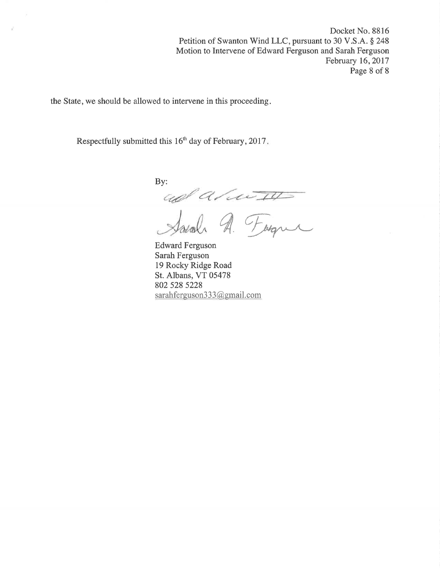Docket No. 8816 Petition of Swanton Wind LLC, pursuant to 30 V.S.A. § 248 Motion to Intervene of Edward Ferguson and Sarah Ferguson February 16,2017 Page 8 of 8

the State, we should be allowed to intervene in this proceeding

Respectfully submitted this 16<sup>th</sup> day of February, 2017.

By:

 $\overline{\mathscr{A}}$ Forgue

Edward Ferguson Sarah Ferguson 19 Rocky Ridge Road St. Albans, VT 05478 802 528 5228 sarahferguson333@gmail.com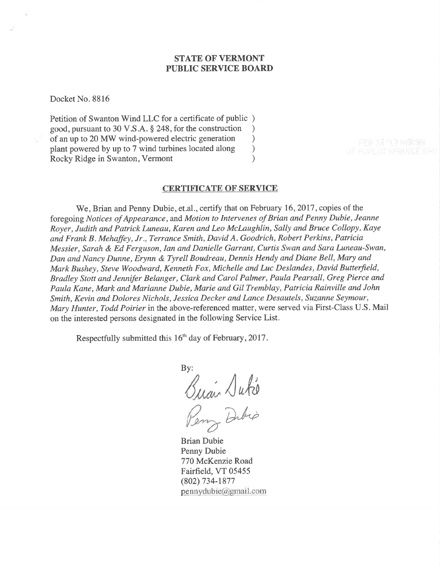#### STATE OF VERMONT PUBLIC SERVICE BOARD

Docket No. 8816

Petition of Swanton Wind LLC for a certificate of public ) good, pursuant to 30 V.S.A. § 248, for the construction <br>of an up to 20 MW wind-powered electric generation  $\qquad$ of an up to 20 MW wind-powered electric generation ) plant powered by up to 7 wind turbines located along <br>
Rocky Ridge in Swanton, Vermont (1) Rocky Ridge in Swanton, Vermont )

# CERTIFICATE OF SERVICE

We, Brian and Penny Dubie, et.al., certify that on February 16, 2017, copies of the foregoing Notices of Appearance, and Motion to Intervenes of Brian and Penny Dubie, Jeanne Royer, Judith and Patrick Luneau, Karen and Leo McLaughlin, Sally and Bruce Collopy, Kaye and Frank B . Mehaffey, Jr., Terrance Smith, David A. Goodrich, Robert Perkins, Patricia Messier, Sarah & Ed Ferguson, Ian and Danielle Garrant, Curtis Swan and Sara Luneau-Swan, Dan and Nancy Dunne, Erynn & Tyrell Boudreau, Dennis Hendy and Diane Bell, Mary and Mark Bushey, Steve Woodward, Kenneth Fox, Michelle and Luc Deslandes, David Butterfield, Bradley Stott and Jennifer Belanger, Clark and Carol Palmer, Paula Pearsall, Greg Pierce and Paula Kane, Mark and Marianne Dubie, Marie and Gil Tremblay, Patricia Rainville and John Smith, Kevin and Dolores Nichols, Jessica Decker and Lance Desautels, Suzanne Seymour, Mary Hunter, Todd Poirier in the above-referenced matter, were served via First-Class U.S. Mail on the interested persons designated in the following Service List.

Respectfully submitted this 16<sup>th</sup> day of February, 2017.

By:  $\sqrt{abc}$ Dibio

Brian Dubie Penny Dubie 770 McKenzie Road Fairfield, VT 05455 (802) 734-1877  $pennydubic@gmail.com$